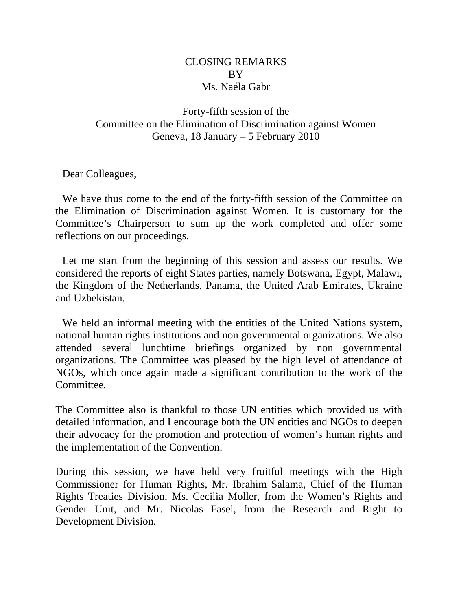## CLOSING REMARKS BY Ms. Naéla Gabr

Forty-fifth session of the Committee on the Elimination of Discrimination against Women Geneva, 18 January – 5 February 2010

Dear Colleagues,

We have thus come to the end of the forty-fifth session of the Committee on the Elimination of Discrimination against Women. It is customary for the Committee's Chairperson to sum up the work completed and offer some reflections on our proceedings.

Let me start from the beginning of this session and assess our results. We considered the reports of eight States parties, namely Botswana, Egypt, Malawi, the Kingdom of the Netherlands, Panama, the United Arab Emirates, Ukraine and Uzbekistan.

We held an informal meeting with the entities of the United Nations system, national human rights institutions and non governmental organizations. We also attended several lunchtime briefings organized by non governmental organizations. The Committee was pleased by the high level of attendance of NGOs, which once again made a significant contribution to the work of the Committee.

The Committee also is thankful to those UN entities which provided us with detailed information, and I encourage both the UN entities and NGOs to deepen their advocacy for the promotion and protection of women's human rights and the implementation of the Convention.

During this session, we have held very fruitful meetings with the High Commissioner for Human Rights, Mr. Ibrahim Salama, Chief of the Human Rights Treaties Division, Ms. Cecilia Moller, from the Women's Rights and Gender Unit, and Mr. Nicolas Fasel, from the Research and Right to Development Division.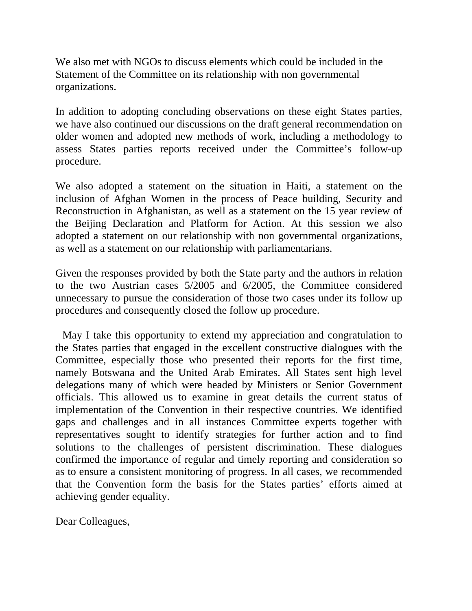We also met with NGOs to discuss elements which could be included in the Statement of the Committee on its relationship with non governmental organizations.

In addition to adopting concluding observations on these eight States parties, we have also continued our discussions on the draft general recommendation on older women and adopted new methods of work, including a methodology to assess States parties reports received under the Committee's follow-up procedure.

We also adopted a statement on the situation in Haiti, a statement on the inclusion of Afghan Women in the process of Peace building, Security and Reconstruction in Afghanistan, as well as a statement on the 15 year review of the Beijing Declaration and Platform for Action. At this session we also adopted a statement on our relationship with non governmental organizations, as well as a statement on our relationship with parliamentarians.

Given the responses provided by both the State party and the authors in relation to the two Austrian cases 5/2005 and 6/2005, the Committee considered unnecessary to pursue the consideration of those two cases under its follow up procedures and consequently closed the follow up procedure.

May I take this opportunity to extend my appreciation and congratulation to the States parties that engaged in the excellent constructive dialogues with the Committee, especially those who presented their reports for the first time, namely Botswana and the United Arab Emirates. All States sent high level delegations many of which were headed by Ministers or Senior Government officials. This allowed us to examine in great details the current status of implementation of the Convention in their respective countries. We identified gaps and challenges and in all instances Committee experts together with representatives sought to identify strategies for further action and to find solutions to the challenges of persistent discrimination. These dialogues confirmed the importance of regular and timely reporting and consideration so as to ensure a consistent monitoring of progress. In all cases, we recommended that the Convention form the basis for the States parties' efforts aimed at achieving gender equality.

Dear Colleagues,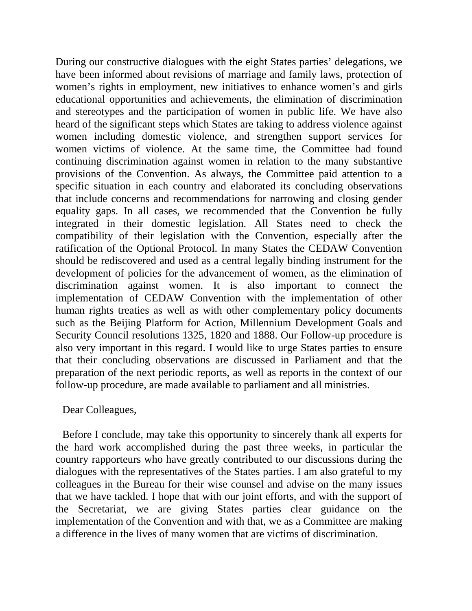During our constructive dialogues with the eight States parties' delegations, we have been informed about revisions of marriage and family laws, protection of women's rights in employment, new initiatives to enhance women's and girls educational opportunities and achievements, the elimination of discrimination and stereotypes and the participation of women in public life. We have also heard of the significant steps which States are taking to address violence against women including domestic violence, and strengthen support services for women victims of violence. At the same time, the Committee had found continuing discrimination against women in relation to the many substantive provisions of the Convention. As always, the Committee paid attention to a specific situation in each country and elaborated its concluding observations that include concerns and recommendations for narrowing and closing gender equality gaps. In all cases, we recommended that the Convention be fully integrated in their domestic legislation. All States need to check the compatibility of their legislation with the Convention, especially after the ratification of the Optional Protocol. In many States the CEDAW Convention should be rediscovered and used as a central legally binding instrument for the development of policies for the advancement of women, as the elimination of discrimination against women. It is also important to connect the implementation of CEDAW Convention with the implementation of other human rights treaties as well as with other complementary policy documents such as the Beijing Platform for Action, Millennium Development Goals and Security Council resolutions 1325, 1820 and 1888. Our Follow-up procedure is also very important in this regard. I would like to urge States parties to ensure that their concluding observations are discussed in Parliament and that the preparation of the next periodic reports, as well as reports in the context of our follow-up procedure, are made available to parliament and all ministries.

## Dear Colleagues,

Before I conclude, may take this opportunity to sincerely thank all experts for the hard work accomplished during the past three weeks, in particular the country rapporteurs who have greatly contributed to our discussions during the dialogues with the representatives of the States parties. I am also grateful to my colleagues in the Bureau for their wise counsel and advise on the many issues that we have tackled. I hope that with our joint efforts, and with the support of the Secretariat, we are giving States parties clear guidance on the implementation of the Convention and with that, we as a Committee are making a difference in the lives of many women that are victims of discrimination.